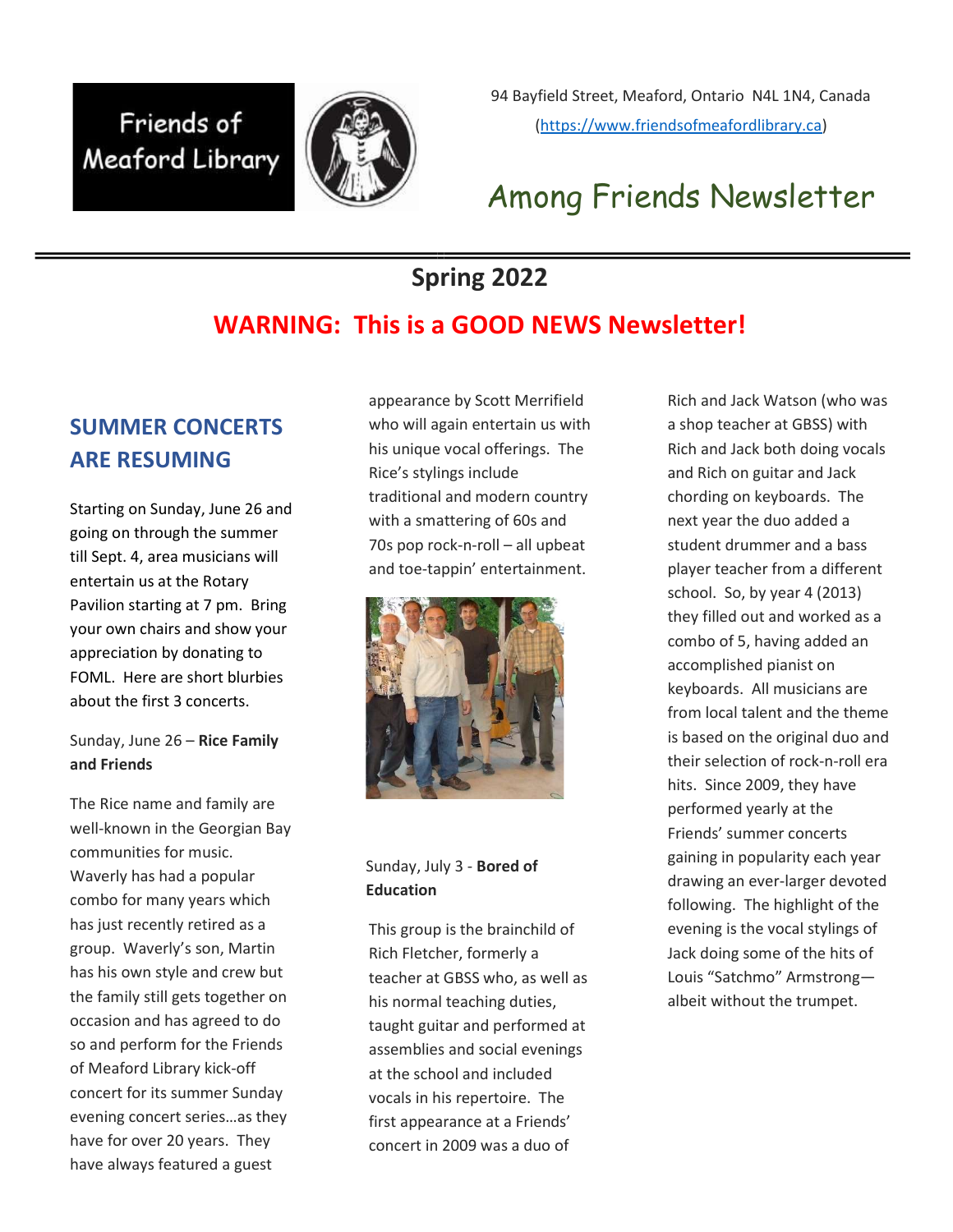## Friends of Meaford Library



94 Bayfield Street, Meaford, Ontario N4L 1N4, Canada (https://www.friendsofmeafordlibrary.ca)

## Among Friends Newsletter

## Spring 2022

## WARNING: This is a GOOD NEWS Newsletter!

### SUMMER CONCERTS ARE RESUMING

Starting on Sunday, June 26 and going on through the summer till Sept. 4, area musicians will entertain us at the Rotary Pavilion starting at 7 pm. Bring your own chairs and show your appreciation by donating to FOML. Here are short blurbies about the first 3 concerts.

Sunday, June 26 - Rice Family and Friends

The Rice name and family are well-known in the Georgian Bay communities for music. Waverly has had a popular combo for many years which has just recently retired as a group. Waverly's son, Martin has his own style and crew but the family still gets together on occasion and has agreed to do so and perform for the Friends of Meaford Library kick-off concert for its summer Sunday evening concert series…as they have for over 20 years. They have always featured a guest

appearance by Scott Merrifield who will again entertain us with his unique vocal offerings. The Rice's stylings include traditional and modern country with a smattering of 60s and 70s pop rock-n-roll – all upbeat and toe-tappin' entertainment.



Sunday, July 3 - Bored of Education

This group is the brainchild of Rich Fletcher, formerly a teacher at GBSS who, as well as his normal teaching duties, taught guitar and performed at assemblies and social evenings at the school and included vocals in his repertoire. The first appearance at a Friends' concert in 2009 was a duo of

Rich and Jack Watson (who was a shop teacher at GBSS) with Rich and Jack both doing vocals and Rich on guitar and Jack chording on keyboards. The next year the duo added a student drummer and a bass player teacher from a different school. So, by year 4 (2013) they filled out and worked as a combo of 5, having added an accomplished pianist on keyboards. All musicians are from local talent and the theme is based on the original duo and their selection of rock-n-roll era hits. Since 2009, they have performed yearly at the Friends' summer concerts gaining in popularity each year drawing an ever-larger devoted following. The highlight of the evening is the vocal stylings of Jack doing some of the hits of Louis "Satchmo" Armstrong albeit without the trumpet.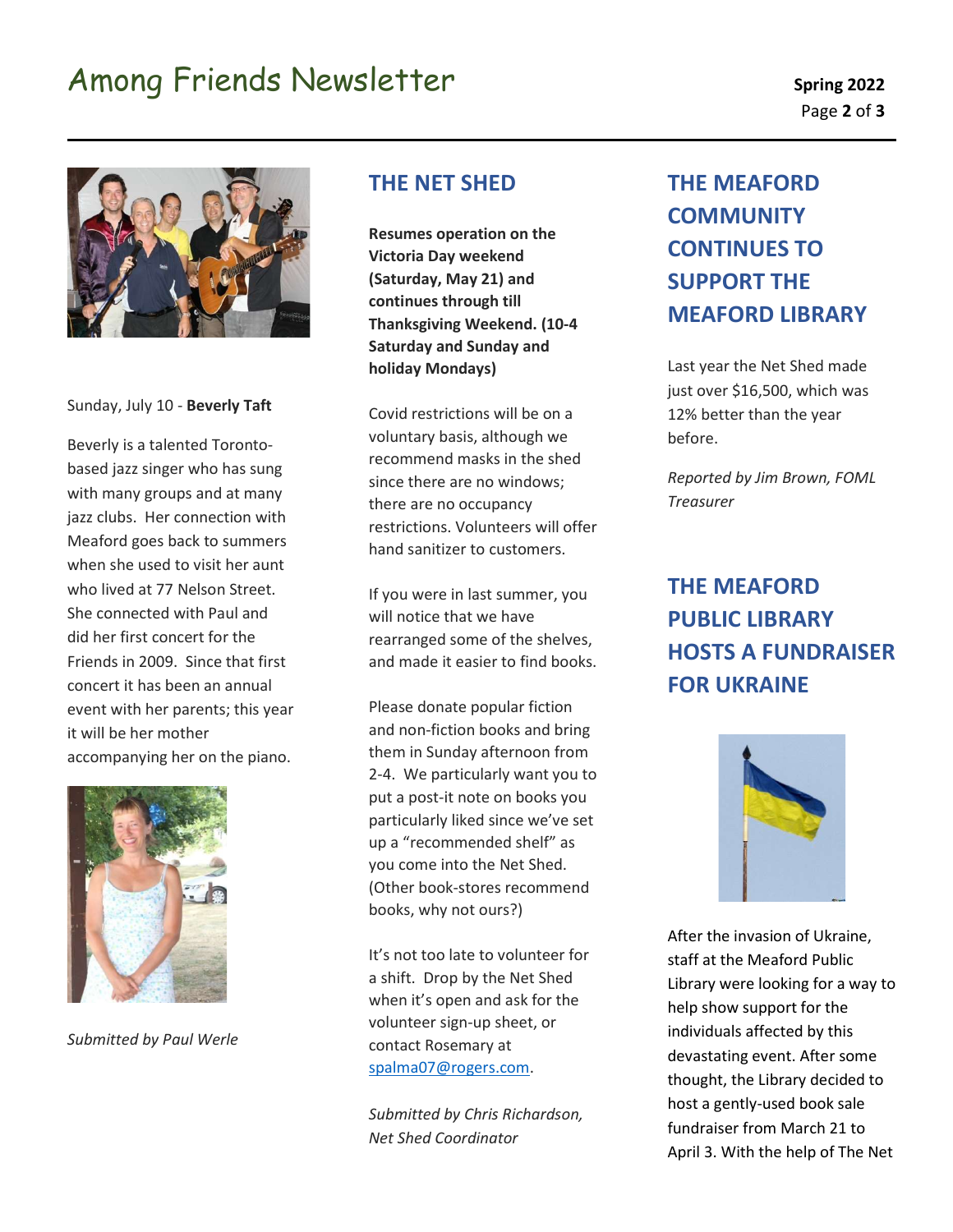# Among Friends Newsletter Spring 2022



Sunday, July 10 - Beverly Taft

Beverly is a talented Torontobased jazz singer who has sung with many groups and at many jazz clubs. Her connection with Meaford goes back to summers when she used to visit her aunt who lived at 77 Nelson Street. She connected with Paul and did her first concert for the Friends in 2009. Since that first concert it has been an annual event with her parents; this year it will be her mother accompanying her on the piano.



Submitted by Paul Werle

#### THE NET SHED

Resumes operation on the Victoria Day weekend (Saturday, May 21) and continues through till Thanksgiving Weekend. (10-4 Saturday and Sunday and holiday Mondays)

Covid restrictions will be on a voluntary basis, although we recommend masks in the shed since there are no windows; there are no occupancy restrictions. Volunteers will offer hand sanitizer to customers.

If you were in last summer, you will notice that we have rearranged some of the shelves, and made it easier to find books.

Please donate popular fiction and non-fiction books and bring them in Sunday afternoon from 2-4. We particularly want you to put a post-it note on books you particularly liked since we've set up a "recommended shelf" as you come into the Net Shed. (Other book-stores recommend books, why not ours?)

It's not too late to volunteer for a shift. Drop by the Net Shed when it's open and ask for the volunteer sign-up sheet, or contact Rosemary at spalma07@rogers.com.

Submitted by Chris Richardson, Net Shed Coordinator

## THE MEAFORD **COMMUNITY** CONTINUES TO SUPPORT THE MEAFORD LIBRARY

Last year the Net Shed made just over \$16,500, which was 12% better than the year before.

Reported by Jim Brown, FOML Treasurer

## THE MEAFORD PUBLIC LIBRARY HOSTS A FUNDRAISER FOR UKRAINE



After the invasion of Ukraine, staff at the Meaford Public Library were looking for a way to help show support for the individuals affected by this devastating event. After some thought, the Library decided to host a gently-used book sale fundraiser from March 21 to April 3. With the help of The Net